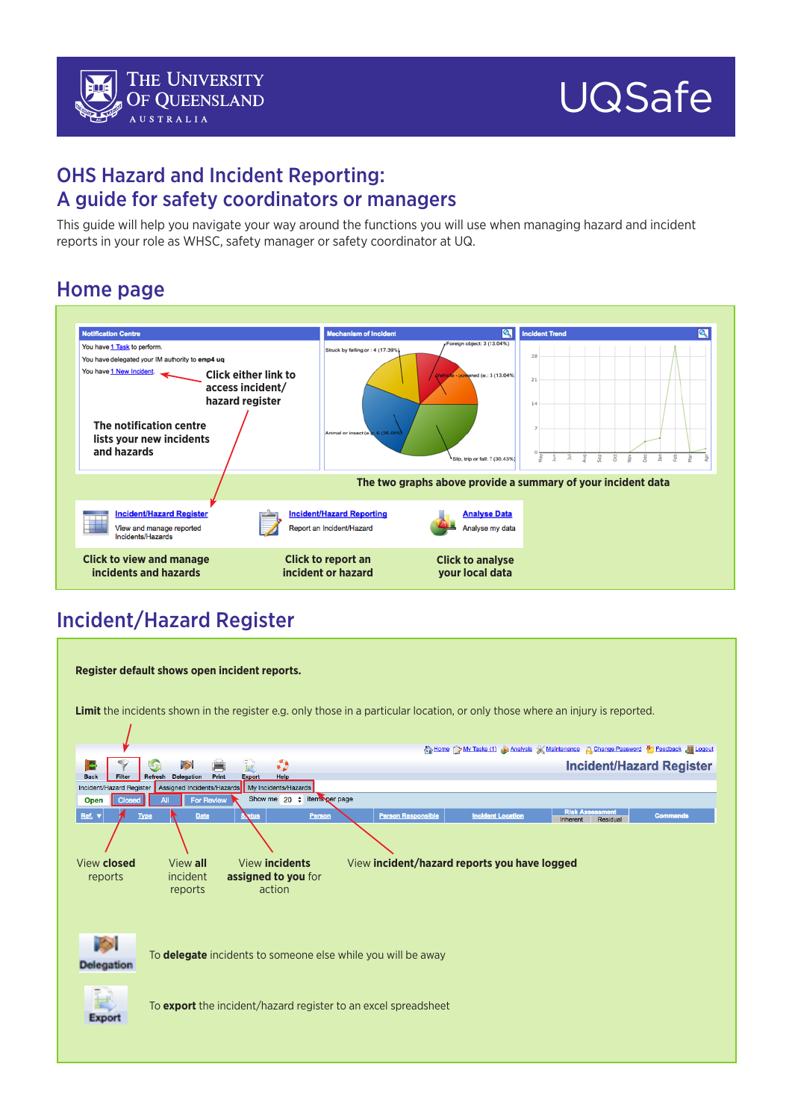### OHS Hazard and Incident Reporting: A guide for safety coordinators or managers

This guide will help you navigate your way around the functions you will use when managing hazard and incident reports in your role as WHSC, safety manager or safety coordinator at UQ.

## Home page



# Incident/Hazard Register